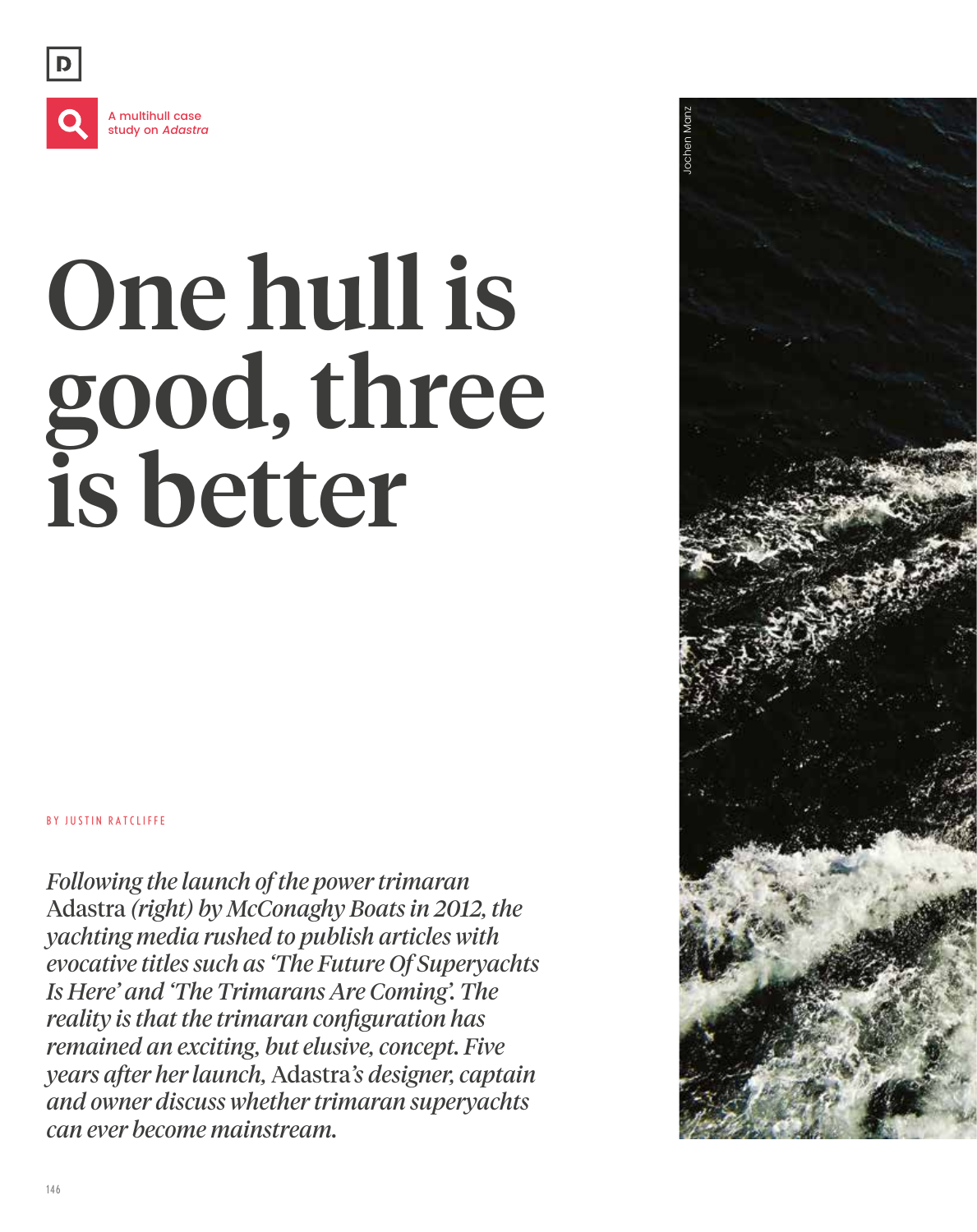

# One hull is good, three is better

### BY JUSTIN RATCLIFFE

*Following the launch of the power trimaran*  Adastra *(right) by McConaghy Boats in 2012, the yachting media rushed to publish articles with evocative titles such as 'The Future Of Superyachts Is Here' and 'The Trimarans Are Coming'. The reality is that the trimaran configuration has remained an exciting, but elusive, concept. Five years after her launch,* Adastra*'s designer, captain and owner discuss whether trimaran superyachts can ever become mainstream.*

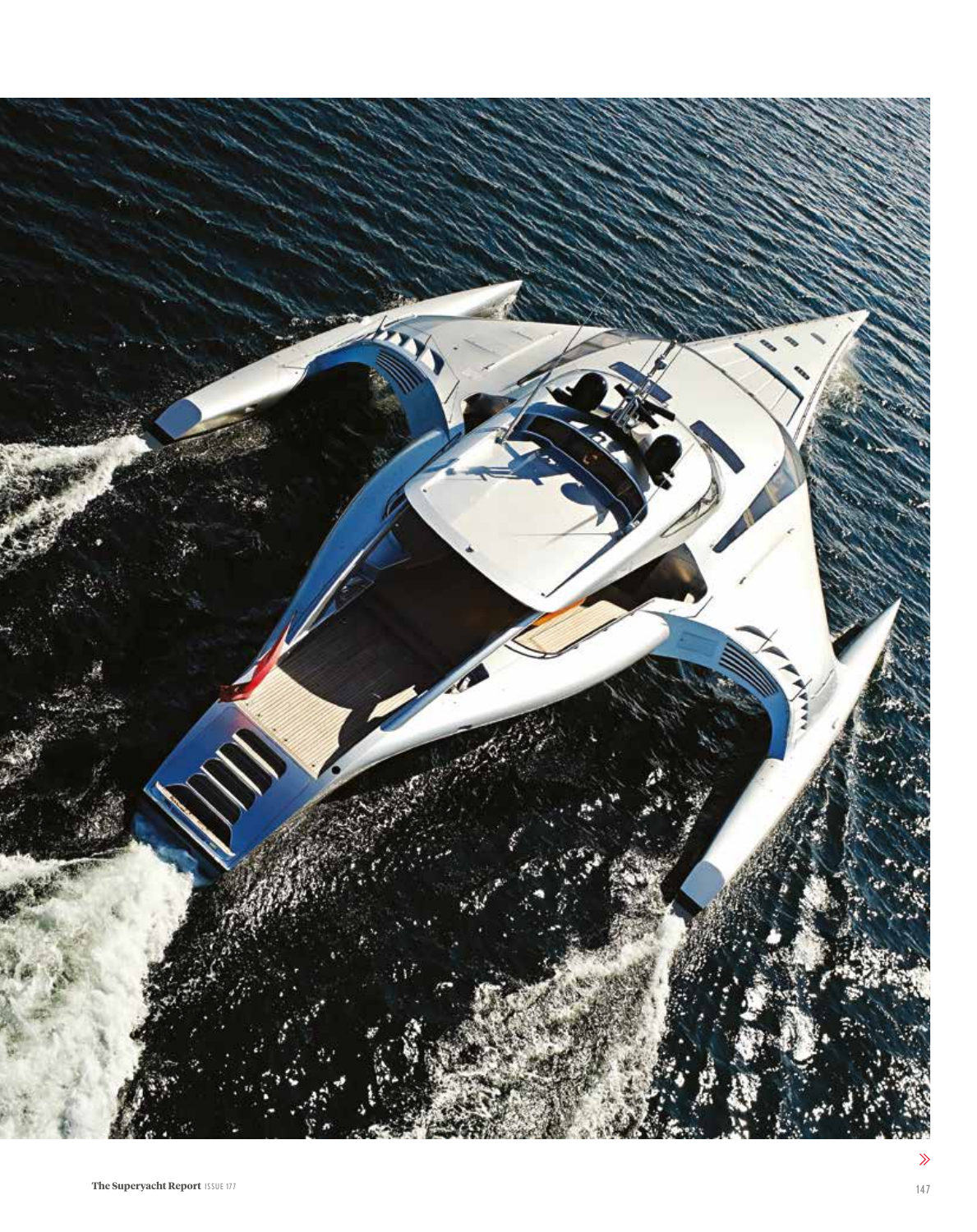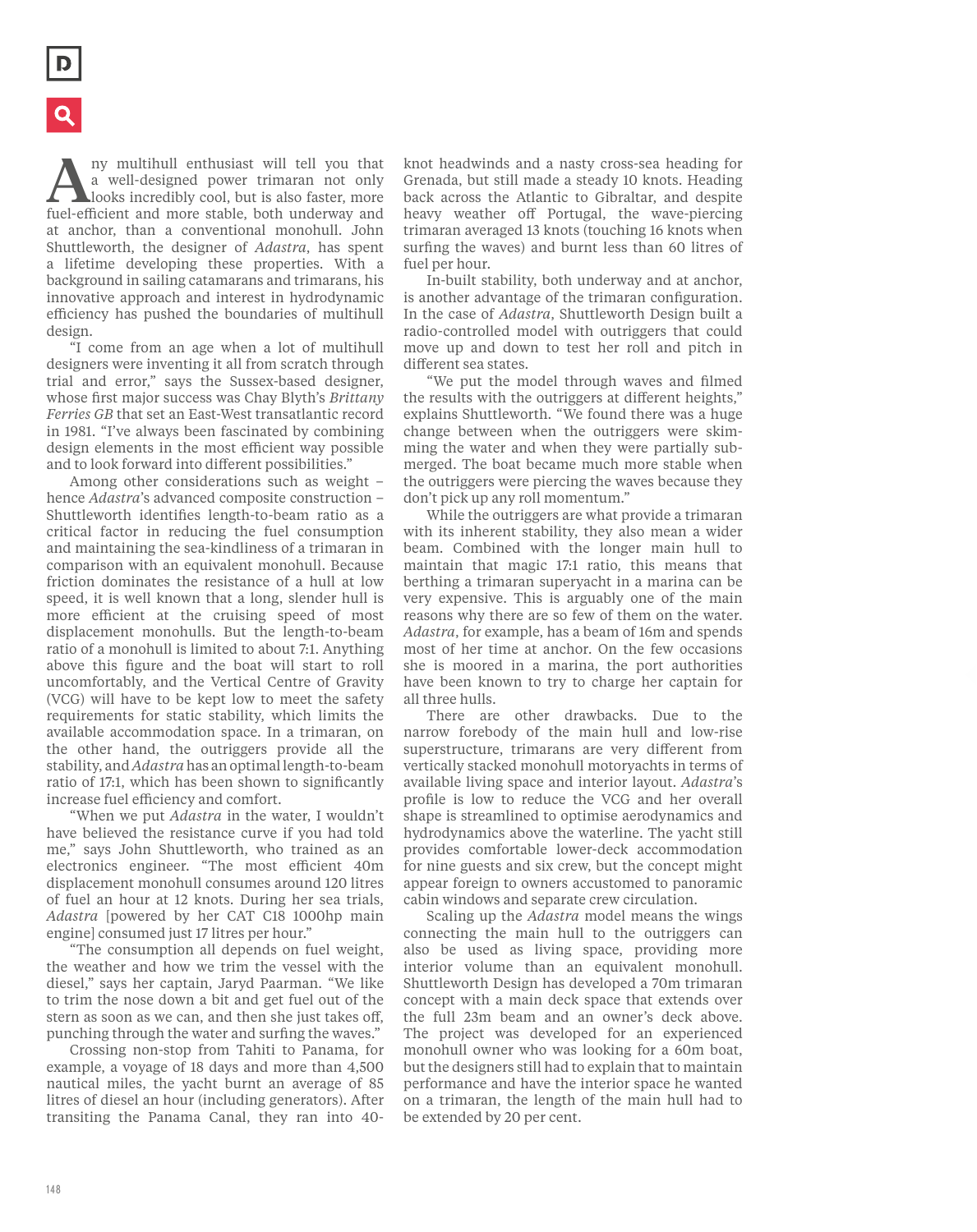Any multihull enthusiast will tell you that a well-designed power trimaran not only looks incredibly cool, but is also faster, more fuel-efficient and more stable both underway and a well-designed power trimaran not only fuel-efficient and more stable, both underway and at anchor, than a conventional monohull. John Shuttleworth, the designer of *Adastra*, has spent a lifetime developing these properties. With a background in sailing catamarans and trimarans, his innovative approach and interest in hydrodynamic efficiency has pushed the boundaries of multihull design.

"I come from an age when a lot of multihull designers were inventing it all from scratch through trial and error," says the Sussex-based designer, whose first major success was Chay Blyth's *Brittany Ferries GB* that set an East-West transatlantic record in 1981. "I've always been fascinated by combining design elements in the most efficient way possible and to look forward into different possibilities."

Among other considerations such as weight – hence *Adastra*'s advanced composite construction – Shuttleworth identifies length-to-beam ratio as a critical factor in reducing the fuel consumption and maintaining the sea-kindliness of a trimaran in comparison with an equivalent monohull. Because friction dominates the resistance of a hull at low speed, it is well known that a long, slender hull is more efficient at the cruising speed of most displacement monohulls. But the length-to-beam ratio of a monohull is limited to about 7:1. Anything above this figure and the boat will start to roll uncomfortably, and the Vertical Centre of Gravity (VCG) will have to be kept low to meet the safety requirements for static stability, which limits the available accommodation space. In a trimaran, on the other hand, the outriggers provide all the stability, and *Adastra* has an optimal length-to-beam ratio of 17:1, which has been shown to significantly increase fuel efficiency and comfort.

"When we put *Adastra* in the water, I wouldn't have believed the resistance curve if you had told me," says John Shuttleworth, who trained as an electronics engineer. "The most efficient 40m displacement monohull consumes around 120 litres of fuel an hour at 12 knots. During her sea trials, *Adastra* [powered by her CAT C18 1000hp main engine] consumed just 17 litres per hour."

"The consumption all depends on fuel weight, the weather and how we trim the vessel with the diesel," says her captain, Jaryd Paarman. "We like to trim the nose down a bit and get fuel out of the stern as soon as we can, and then she just takes off, punching through the water and surfing the waves."

Crossing non-stop from Tahiti to Panama, for example, a voyage of 18 days and more than 4,500 nautical miles, the yacht burnt an average of 85 litres of diesel an hour (including generators). After transiting the Panama Canal, they ran into 40knot headwinds and a nasty cross-sea heading for Grenada, but still made a steady 10 knots. Heading back across the Atlantic to Gibraltar, and despite heavy weather off Portugal, the wave-piercing trimaran averaged 13 knots (touching 16 knots when surfing the waves) and burnt less than 60 litres of fuel per hour.

In-built stability, both underway and at anchor, is another advantage of the trimaran configuration. In the case of *Adastra*, Shuttleworth Design built a radio-controlled model with outriggers that could move up and down to test her roll and pitch in different sea states.

"We put the model through waves and filmed the results with the outriggers at different heights," explains Shuttleworth. "We found there was a huge change between when the outriggers were skimming the water and when they were partially submerged. The boat became much more stable when the outriggers were piercing the waves because they don't pick up any roll momentum."

While the outriggers are what provide a trimaran with its inherent stability, they also mean a wider beam. Combined with the longer main hull to maintain that magic 17:1 ratio, this means that berthing a trimaran superyacht in a marina can be very expensive. This is arguably one of the main reasons why there are so few of them on the water. *Adastra*, for example, has a beam of 16m and spends most of her time at anchor. On the few occasions she is moored in a marina, the port authorities have been known to try to charge her captain for all three hulls.

There are other drawbacks. Due to the narrow forebody of the main hull and low-rise superstructure, trimarans are very different from vertically stacked monohull motoryachts in terms of available living space and interior layout. *Adastra*'s profile is low to reduce the VCG and her overall shape is streamlined to optimise aerodynamics and hydrodynamics above the waterline. The yacht still provides comfortable lower-deck accommodation for nine guests and six crew, but the concept might appear foreign to owners accustomed to panoramic cabin windows and separate crew circulation.

Scaling up the *Adastra* model means the wings connecting the main hull to the outriggers can also be used as living space, providing more interior volume than an equivalent monohull. Shuttleworth Design has developed a 70m trimaran concept with a main deck space that extends over the full 23m beam and an owner's deck above. The project was developed for an experienced monohull owner who was looking for a 60m boat, but the designers still had to explain that to maintain performance and have the interior space he wanted on a trimaran, the length of the main hull had to be extended by 20 per cent.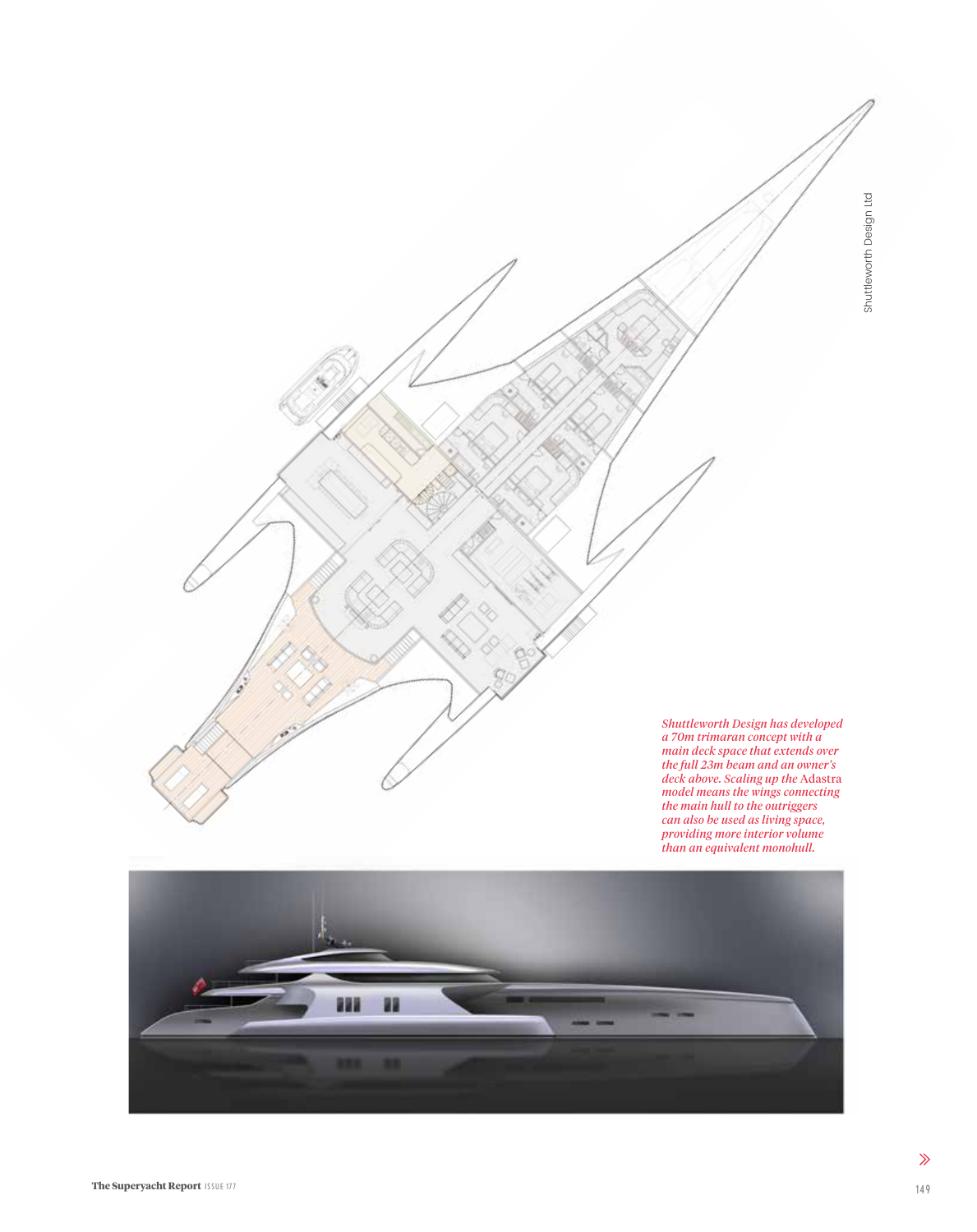



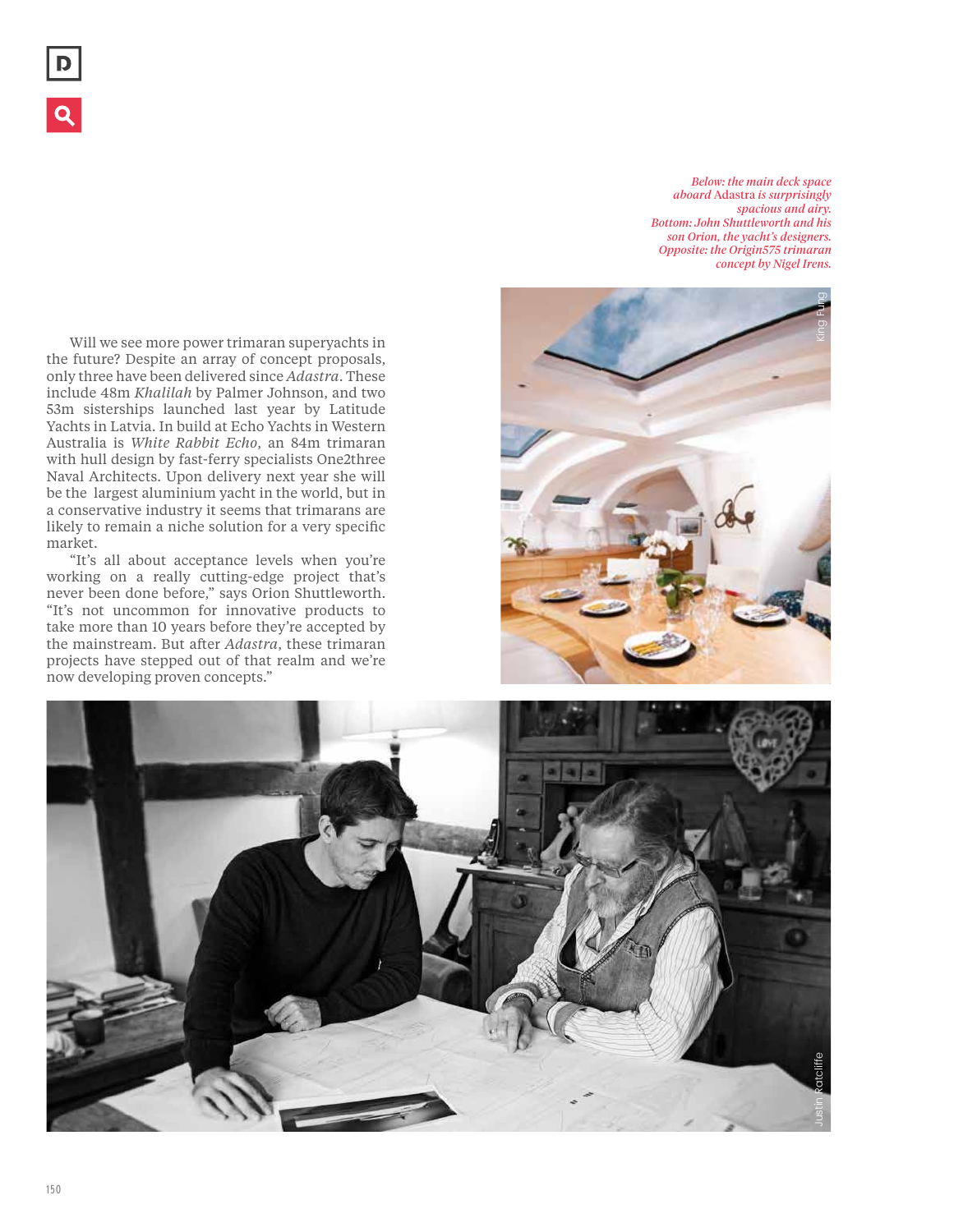*Below: the main deck space aboard* Adastra *is surprisingly spacious and airy. Bottom: John Shuttleworth and his son Orion, the yacht's designers. Opposite: the Origin575 trimaran concept by Nigel Irens.*



Will we see more power trimaran superyachts in the future? Despite an array of concept proposals, only three have been delivered since *Adastra*. These include 48m *Khalilah* by Palmer Johnson, and two 53m sisterships launched last year by Latitude Yachts in Latvia. In build at Echo Yachts in Western Australia is *White Rabbit Echo*, an 84m trimaran with hull design by fast-ferry specialists One2three Naval Architects. Upon delivery next year she will be the largest aluminium yacht in the world, but in a conservative industry it seems that trimarans are likely to remain a niche solution for a very specific market.

"It's all about acceptance levels when you're working on a really cutting-edge project that's never been done before," says Orion Shuttleworth. "It's not uncommon for innovative products to take more than 10 years before they're accepted by the mainstream. But after *Adastra*, these trimaran projects have stepped out of that realm and we're now developing proven concepts."